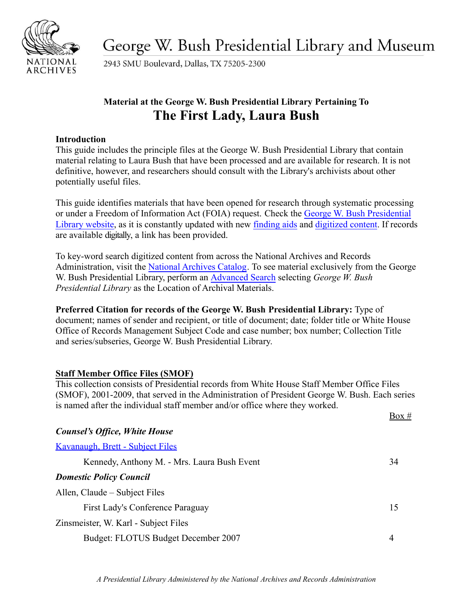

George W. Bush Presidential Library and Museum

2943 SMU Boulevard, Dallas, TX 75205-2300

# **Material at the George W. Bush Presidential Library Pertaining To The First Lady, Laura Bush**

## **Introduction**

This guide includes the principle files at the George W. Bush Presidential Library that contain material relating to Laura Bush that have been processed and are available for research. It is not definitive, however, and researchers should consult with the Library's archivists about other potentially useful files.

This guide identifies materials that have been opened for research through systematic processing or under a Freedom of Information Act (FOIA) request. Check the [George W. Bush Presidential](https://www.georgewbushlibrary.gov/) [Library website,](https://www.georgewbushlibrary.smu.edu/Home.aspx) as it is constantly updated with new [finding aids](https://www.georgewbushlibrary.gov/research/finding-aids) and [digitized content.](https://www.georgewbushlibrary.gov/research/records-search) If records are available digitally, a link has been provided.

To key-word search digitized content from across the National Archives and Records Administration, visit the [National Archives Catalog](https://catalog.archives.gov/). To see material exclusively from the George W. Bush Presidential Library, perform an [Advanced](https://catalog.archives.gov/advancedsearch) Search selecting *George W. Bush Presidential Library* as the Location of Archival Materials.

**Preferred Citation for records of the George W. Bush Presidential Library:** Type of document; names of sender and recipient, or title of document; date; folder title or White House Office of Records Management Subject Code and case number; box number; Collection Title and series/subseries, George W. Bush Presidential Library.

## **Staff Member Office Files (SMOF)**

This collection consists of Presidential records from White House Staff Member Office Files (SMOF), 2001-2009, that served in the Administration of President George W. Bush. Each series is named after the individual staff member and/or office where they worked.

|                                             | Box # |
|---------------------------------------------|-------|
| <b>Counsel's Office, White House</b>        |       |
| Kavanaugh, Brett - Subject Files            |       |
| Kennedy, Anthony M. - Mrs. Laura Bush Event | 34    |
| <b>Domestic Policy Council</b>              |       |
| Allen, Claude – Subject Files               |       |
| First Lady's Conference Paraguay            | 15    |
| Zinsmeister, W. Karl - Subject Files        |       |
| Budget: FLOTUS Budget December 2007         | 4     |
|                                             |       |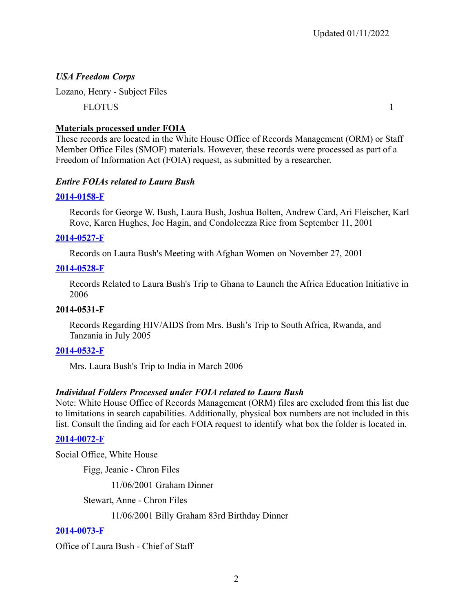## *USA Freedom Corps*

Lozano, Henry - Subject Files

FLOTUS 1

## **Materials processed under FOIA**

These records are located in the White House Office of Records Management (ORM) or Staff Member Office Files (SMOF) materials. However, these records were processed as part of a Freedom of Information Act (FOIA) request, as submitted by a researcher.

## *Entire FOIAs related to Laura Bush*

## **[2014-0158-F](https://www.georgewbushlibrary.gov/research/finding-aids/foia-requests/2014-0158-f-records-george-w-bush-laura-bush-joshua-bolten-andrew-card-ari-fleischer-karl-rove-karen)**

Records for George W. Bush, Laura Bush, Joshua Bolten, Andrew Card, Ari Fleischer, Karl Rove, Karen Hughes, Joe Hagin, and Condoleezza Rice from September 11, 2001

## **[2014-0527-F](https://www.georgewbushlibrary.gov/research/finding-aids/foia-requests/2014-0527-f-records-laura-bushs-meeting-afghan-women-november-27-2001)**

Records on Laura Bush's Meeting with Afghan Women on November 27, 2001

## **[2014-0528-F](https://www.georgewbushlibrary.gov/research/finding-aids/foia-requests/2014-0528-f-records-related-laura-bushs-trip-ghana-launch-africa-education-initiative-2006)**

Records Related to Laura Bush's Trip to Ghana to Launch the Africa Education Initiative in 2006

## **2014-0531-F**

Records Regarding HIV/AIDS from Mrs. Bush's Trip to South Africa, Rwanda, and Tanzania in July 2005

## **[2014-0532-F](https://www.georgewbushlibrary.gov/research/finding-aids/foia-requests/2014-0532-f-mrs-laura-bushs-trip-india-march-2006)**

Mrs. Laura Bush's Trip to India in March 2006

## *Individual Folders Processed under FOIA related to Laura Bush*

Note: White House Office of Records Management (ORM) files are excluded from this list due to limitations in search capabilities. Additionally, physical box numbers are not included in this list. Consult the finding aid for each FOIA request to identify what box the folder is located in.

## **[2014-0072-F](https://www.georgewbushlibrary.gov/research/finding-aids/foia-requests/2014-0072-f-correspondence-between-president-bush-and-his-pastors-and-spiritual-advisors)**

Social Office, White House

Figg, Jeanie - Chron Files

11/06/2001 Graham Dinner

Stewart, Anne - Chron Files

11/06/2001 Billy Graham 83rd Birthday Dinner

## **[2014-0073-F](https://www.georgewbushlibrary.gov/research/finding-aids/foia-requests/2014-0073-f-communications-between-president-george-w-bush-and-barack-obama-or-their-representatives)**

Office of Laura Bush - Chief of Staff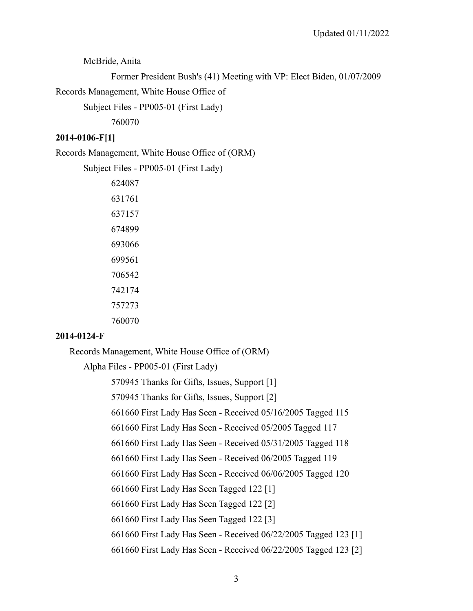McBride, Anita

```
Former President Bush's (41) Meeting with VP: Elect Biden, 01/07/2009
```
Records Management, White House Office of

Subject Files - PP005-01 (First Lady)

760070

#### **2014-0106-F[1]**

Records Management, White House Office of (ORM)

Subject Files - PP005-01 (First Lady)

| 624087 |
|--------|
| 631761 |
| 637157 |
| 674899 |
| 693066 |
| 699561 |
| 706542 |
| 742174 |
| 757273 |
| 760070 |

## **2014-0124-F**

Records Management, White House Office of (ORM)

Alpha Files - PP005-01 (First Lady)

570945 Thanks for Gifts, Issues, Support [1]

570945 Thanks for Gifts, Issues, Support [2]

661660 First Lady Has Seen - Received 05/16/2005 Tagged 115

661660 First Lady Has Seen - Received 05/2005 Tagged 117

661660 First Lady Has Seen - Received 05/31/2005 Tagged 118

661660 First Lady Has Seen - Received 06/2005 Tagged 119

661660 First Lady Has Seen - Received 06/06/2005 Tagged 120

661660 First Lady Has Seen Tagged 122 [1]

661660 First Lady Has Seen Tagged 122 [2]

661660 First Lady Has Seen Tagged 122 [3]

661660 First Lady Has Seen - Received 06/22/2005 Tagged 123 [1]

661660 First Lady Has Seen - Received 06/22/2005 Tagged 123 [2]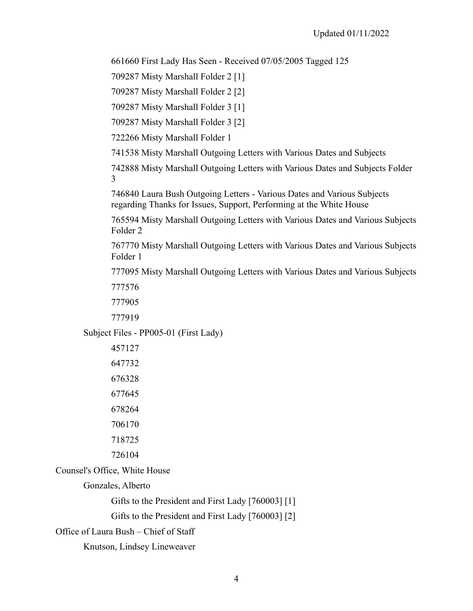661660 First Lady Has Seen - Received 07/05/2005 Tagged 125

709287 Misty Marshall Folder 2 [1]

709287 Misty Marshall Folder 2 [2]

709287 Misty Marshall Folder 3 [1]

709287 Misty Marshall Folder 3 [2]

722266 Misty Marshall Folder 1

741538 Misty Marshall Outgoing Letters with Various Dates and Subjects

742888 Misty Marshall Outgoing Letters with Various Dates and Subjects Folder 3

746840 Laura Bush Outgoing Letters - Various Dates and Various Subjects regarding Thanks for Issues, Support, Performing at the White House

765594 Misty Marshall Outgoing Letters with Various Dates and Various Subjects Folder 2

767770 Misty Marshall Outgoing Letters with Various Dates and Various Subjects Folder 1

777095 Misty Marshall Outgoing Letters with Various Dates and Various Subjects 777576

777905

777919

Subject Files - PP005-01 (First Lady)

Counsel's Office, White House

Gonzales, Alberto

Gifts to the President and First Lady [760003] [1]

Gifts to the President and First Lady [760003] [2]

Office of Laura Bush – Chief of Staff

Knutson, Lindsey Lineweaver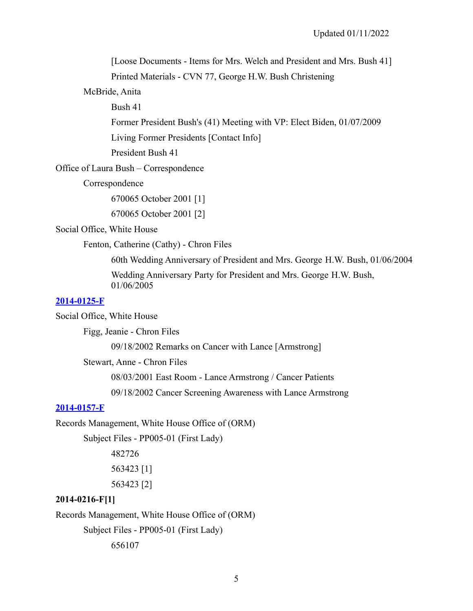[Loose Documents - Items for Mrs. Welch and President and Mrs. Bush 41] Printed Materials - CVN 77, George H.W. Bush Christening

McBride, Anita

Bush 41

Former President Bush's (41) Meeting with VP: Elect Biden, 01/07/2009

Living Former Presidents [Contact Info]

President Bush 41

Office of Laura Bush – Correspondence

Correspondence

670065 October 2001 [1]

670065 October 2001 [2]

Social Office, White House

Fenton, Catherine (Cathy) - Chron Files

60th Wedding Anniversary of President and Mrs. George H.W. Bush, 01/06/2004

Wedding Anniversary Party for President and Mrs. George H.W. Bush, 01/06/2005

#### **[2014-0125-F](https://www.georgewbushlibrary.gov/research/finding-aids/foia-requests/2014-0125-f-records-related-lance-armstrong)**

Social Office, White House

Figg, Jeanie - Chron Files

09/18/2002 Remarks on Cancer with Lance [Armstrong]

Stewart, Anne - Chron Files

08/03/2001 East Room - Lance Armstrong / Cancer Patients

09/18/2002 Cancer Screening Awareness with Lance Armstrong

#### **[2014-0157-F](https://www.georgewbushlibrary.gov/research/finding-aids/foia-requests/2014-0157-f-records-skull-and-bones-society)**

Records Management, White House Office of (ORM)

Subject Files - PP005-01 (First Lady)

482726 563423 [1]

563423 [2]

#### **2014-0216-F[1]**

Records Management, White House Office of (ORM) Subject Files - PP005-01 (First Lady)

656107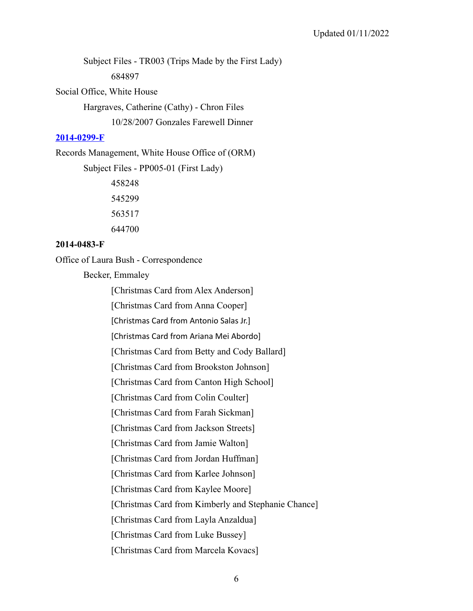Subject Files - TR003 (Trips Made by the First Lady) 684897

Social Office, White House

Hargraves, Catherine (Cathy) - Chron Files

10/28/2007 Gonzales Farewell Dinner

## **[2014-0299-F](https://www.georgewbushlibrary.gov/research/finding-aids/foia-requests/2014-0299-f-correspondence-president-jimmy-carter-or-rosalynn-carter-and-george-w-bush-well-speeches)**

Records Management, White House Office of (ORM)

Subject Files - PP005-01 (First Lady)

## **2014-0483-F**

Office of Laura Bush - Correspondence

Becker, Emmaley

[Christmas Card from Alex Anderson]

[Christmas Card from Anna Cooper]

[Christmas Card from Antonio Salas Jr.]

[Christmas Card from Ariana Mei Abordo]

[Christmas Card from Betty and Cody Ballard]

[Christmas Card from Brookston Johnson]

[Christmas Card from Canton High School]

[Christmas Card from Colin Coulter]

[Christmas Card from Farah Sickman]

[Christmas Card from Jackson Streets]

[Christmas Card from Jamie Walton]

[Christmas Card from Jordan Huffman]

[Christmas Card from Karlee Johnson]

[Christmas Card from Kaylee Moore]

[Christmas Card from Kimberly and Stephanie Chance]

[Christmas Card from Layla Anzaldua]

[Christmas Card from Luke Bussey]

[Christmas Card from Marcela Kovacs]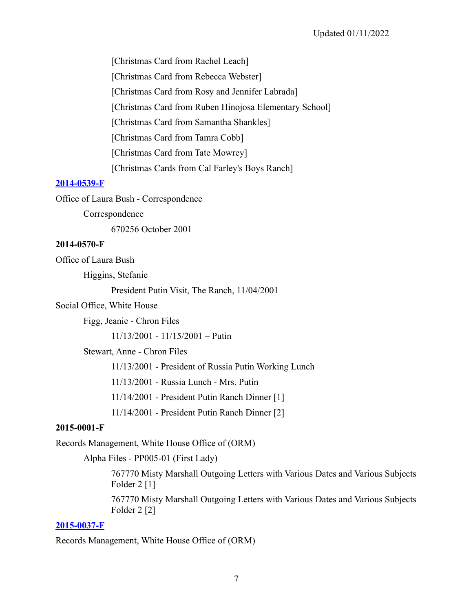[Christmas Card from Rachel Leach] [Christmas Card from Rebecca Webster] [Christmas Card from Rosy and Jennifer Labrada] [Christmas Card from Ruben Hinojosa Elementary School] [Christmas Card from Samantha Shankles] [Christmas Card from Tamra Cobb] [Christmas Card from Tate Mowrey] [Christmas Cards from Cal Farley's Boys Ranch]

## **[2014-0539-F](https://www.georgewbushlibrary.gov/research/finding-aids/foia-requests/2014-0539-f-communication-between-president-george-w-bush-and-martin-omalley)**

Office of Laura Bush - Correspondence

Correspondence

670256 October 2001

#### **2014-0570-F**

Office of Laura Bush

Higgins, Stefanie

President Putin Visit, The Ranch, 11/04/2001

#### Social Office, White House

Figg, Jeanie - Chron Files

11/13/2001 - 11/15/2001 – Putin

Stewart, Anne - Chron Files

11/13/2001 - President of Russia Putin Working Lunch

11/13/2001 - Russia Lunch - Mrs. Putin

11/14/2001 - President Putin Ranch Dinner [1]

11/14/2001 - President Putin Ranch Dinner [2]

## **2015-0001-F**

Records Management, White House Office of (ORM)

Alpha Files - PP005-01 (First Lady)

767770 Misty Marshall Outgoing Letters with Various Dates and Various Subjects Folder 2<sup>[1]</sup>

767770 Misty Marshall Outgoing Letters with Various Dates and Various Subjects Folder 2 [2]

## **[2015-0037-F](https://www.georgewbushlibrary.gov/research/finding-aids/foia-requests/2015-0037-f-records-related-james-dobson)**

Records Management, White House Office of (ORM)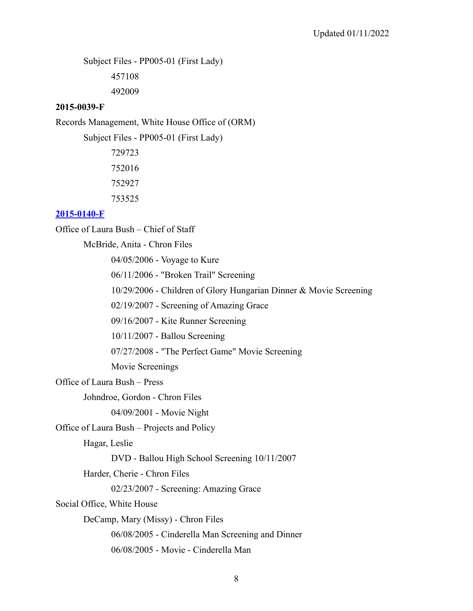Subject Files - PP005-01 (First Lady)

457108

492009

#### **2015-0039-F**

Records Management, White House Office of (ORM)

Subject Files - PP005-01 (First Lady)

#### **[2015-0140-F](https://www.georgewbushlibrary.gov/research/finding-aids/foia-requests/2015-0140-f-films-screened-president-george-w-bush)**

Office of Laura Bush – Chief of Staff

McBride, Anita - Chron Files

04/05/2006 - Voyage to Kure

06/11/2006 - "Broken Trail" Screening

10/29/2006 - Children of Glory Hungarian Dinner & Movie Screening

02/19/2007 - Screening of Amazing Grace

09/16/2007 - Kite Runner Screening

10/11/2007 - Ballou Screening

07/27/2008 - "The Perfect Game" Movie Screening

Movie Screenings

Office of Laura Bush – Press

Johndroe, Gordon - Chron Files

04/09/2001 - Movie Night

Office of Laura Bush – Projects and Policy

Hagar, Leslie

DVD - Ballou High School Screening 10/11/2007

Harder, Cherie - Chron Files

02/23/2007 - Screening: Amazing Grace

Social Office, White House

DeCamp, Mary (Missy) - Chron Files

06/08/2005 - Cinderella Man Screening and Dinner

06/08/2005 - Movie - Cinderella Man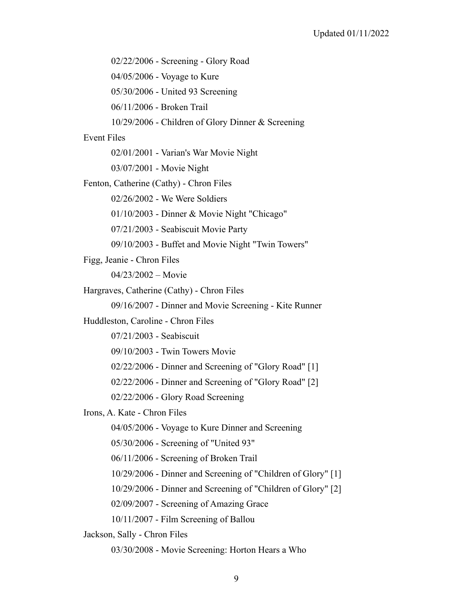02/22/2006 - Screening - Glory Road

04/05/2006 - Voyage to Kure

05/30/2006 - United 93 Screening

06/11/2006 - Broken Trail

10/29/2006 - Children of Glory Dinner & Screening

#### Event Files

02/01/2001 - Varian's War Movie Night

03/07/2001 - Movie Night

Fenton, Catherine (Cathy) - Chron Files

02/26/2002 - We Were Soldiers

01/10/2003 - Dinner & Movie Night "Chicago"

07/21/2003 - Seabiscuit Movie Party

09/10/2003 - Buffet and Movie Night "Twin Towers"

Figg, Jeanie - Chron Files

04/23/2002 – Movie

Hargraves, Catherine (Cathy) - Chron Files

09/16/2007 - Dinner and Movie Screening - Kite Runner

Huddleston, Caroline - Chron Files

07/21/2003 - Seabiscuit

09/10/2003 - Twin Towers Movie

02/22/2006 - Dinner and Screening of "Glory Road" [1]

02/22/2006 - Dinner and Screening of "Glory Road" [2]

02/22/2006 - Glory Road Screening

Irons, A. Kate - Chron Files

04/05/2006 - Voyage to Kure Dinner and Screening

05/30/2006 - Screening of "United 93"

06/11/2006 - Screening of Broken Trail

10/29/2006 - Dinner and Screening of "Children of Glory" [1]

10/29/2006 - Dinner and Screening of "Children of Glory" [2]

02/09/2007 - Screening of Amazing Grace

10/11/2007 - Film Screening of Ballou

Jackson, Sally - Chron Files

03/30/2008 - Movie Screening: Horton Hears a Who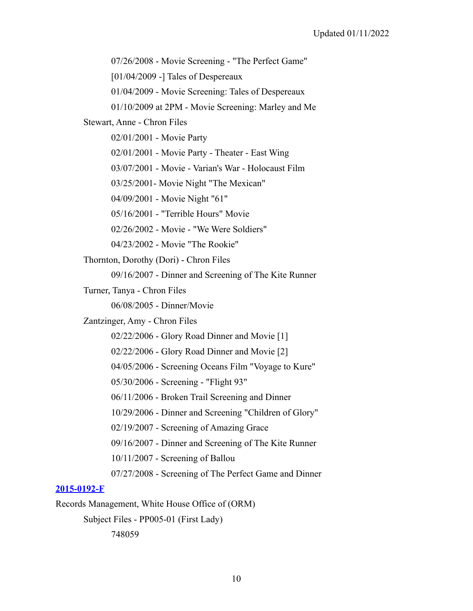07/26/2008 - Movie Screening - "The Perfect Game"

[01/04/2009 -] Tales of Despereaux

01/04/2009 - Movie Screening: Tales of Despereaux

01/10/2009 at 2PM - Movie Screening: Marley and Me

Stewart, Anne - Chron Files

02/01/2001 - Movie Party

02/01/2001 - Movie Party - Theater - East Wing

03/07/2001 - Movie - Varian's War - Holocaust Film

03/25/2001- Movie Night "The Mexican"

04/09/2001 - Movie Night "61"

05/16/2001 - "Terrible Hours" Movie

02/26/2002 - Movie - "We Were Soldiers"

04/23/2002 - Movie "The Rookie"

Thornton, Dorothy (Dori) - Chron Files

09/16/2007 - Dinner and Screening of The Kite Runner

Turner, Tanya - Chron Files

06/08/2005 - Dinner/Movie

Zantzinger, Amy - Chron Files

02/22/2006 - Glory Road Dinner and Movie [1]

02/22/2006 - Glory Road Dinner and Movie [2]

04/05/2006 - Screening Oceans Film "Voyage to Kure"

05/30/2006 - Screening - "Flight 93"

06/11/2006 - Broken Trail Screening and Dinner

10/29/2006 - Dinner and Screening "Children of Glory"

02/19/2007 - Screening of Amazing Grace

09/16/2007 - Dinner and Screening of The Kite Runner

10/11/2007 - Screening of Ballou

07/27/2008 - Screening of The Perfect Game and Dinner

#### **[2015-0192-F](https://www.georgewbushlibrary.gov/research/finding-aids/foia-requests/2015-0192-f-thank-you-notes-and-acknowledgement-liberian-gifts)**

Records Management, White House Office of (ORM)

Subject Files - PP005-01 (First Lady)

748059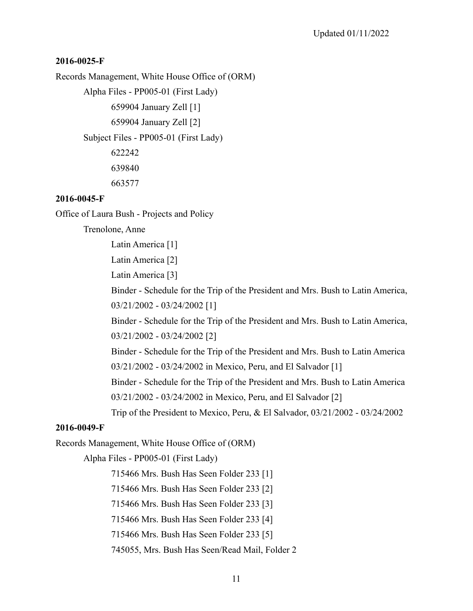## **2016-0025-F**

Records Management, White House Office of (ORM)

Alpha Files - PP005-01 (First Lady)

659904 January Zell [1]

659904 January Zell [2]

Subject Files - PP005-01 (First Lady)

622242 639840 663577

## **2016-0045-F**

Office of Laura Bush - Projects and Policy

Trenolone, Anne

Latin America [1]

Latin America [2]

Latin America [3]

Binder - Schedule for the Trip of the President and Mrs. Bush to Latin America, 03/21/2002 - 03/24/2002 [1]

Binder - Schedule for the Trip of the President and Mrs. Bush to Latin America, 03/21/2002 - 03/24/2002 [2]

Binder - Schedule for the Trip of the President and Mrs. Bush to Latin America 03/21/2002 - 03/24/2002 in Mexico, Peru, and El Salvador [1]

Binder - Schedule for the Trip of the President and Mrs. Bush to Latin America 03/21/2002 - 03/24/2002 in Mexico, Peru, and El Salvador [2]

Trip of the President to Mexico, Peru, & El Salvador, 03/21/2002 - 03/24/2002

## **2016-0049-F**

Records Management, White House Office of (ORM)

Alpha Files - PP005-01 (First Lady)

715466 Mrs. Bush Has Seen Folder 233 [1]

715466 Mrs. Bush Has Seen Folder 233 [2]

715466 Mrs. Bush Has Seen Folder 233 [3]

715466 Mrs. Bush Has Seen Folder 233 [4]

715466 Mrs. Bush Has Seen Folder 233 [5]

745055, Mrs. Bush Has Seen/Read Mail, Folder 2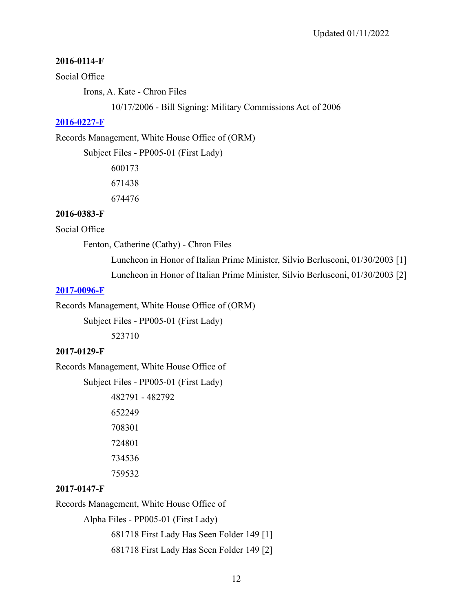#### **2016-0114-F**

#### Social Office

Irons, A. Kate - Chron Files

10/17/2006 - Bill Signing: Military Commissions Act of 2006

#### **[2016-0227-F](-https://www.georgewbushlibrary.gov/research/finding-aids/foia-requests/2016-0227-f-textual-records-relating-donald-trump-andor-trump-organization)**

Records Management, White House Office of (ORM)

Subject Files - PP005-01 (First Lady)

600173 671438 674476

#### **2016-0383-F**

#### Social Office

Fenton, Catherine (Cathy) - Chron Files

Luncheon in Honor of Italian Prime Minister, Silvio Berlusconi, 01/30/2003 [1]

Luncheon in Honor of Italian Prime Minister, Silvio Berlusconi, 01/30/2003 [2]

#### **[2017-0096-F](https://www.georgewbushlibrary.gov/research/finding-aids/foia-requests/2017-0096-f-textual-records-1966-film-battle-algiers)**

Records Management, White House Office of (ORM)

Subject Files - PP005-01 (First Lady)

523710

#### **2017-0129-F**

Records Management, White House Office of

Subject Files - PP005-01 (First Lady)

## **2017-0147-F**

Records Management, White House Office of

Alpha Files - PP005-01 (First Lady)

681718 First Lady Has Seen Folder 149 [1]

681718 First Lady Has Seen Folder 149 [2]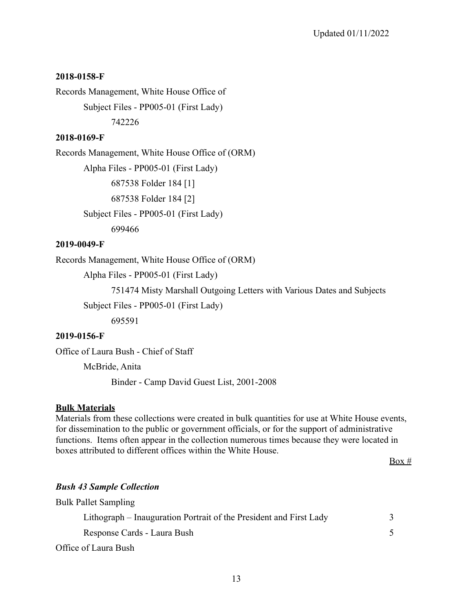## **2018-0158-F**

Records Management, White House Office of

Subject Files - PP005-01 (First Lady)

742226

## **2018-0169-F**

Records Management, White House Office of (ORM)

Alpha Files - PP005-01 (First Lady)

687538 Folder 184 [1]

687538 Folder 184 [2]

Subject Files - PP005-01 (First Lady)

699466

## **2019-0049-F**

Records Management, White House Office of (ORM)

Alpha Files - PP005-01 (First Lady)

751474 Misty Marshall Outgoing Letters with Various Dates and Subjects

Subject Files - PP005-01 (First Lady)

695591

## **2019-0156-F**

Office of Laura Bush - Chief of Staff

McBride, Anita

Binder - Camp David Guest List, 2001-2008

## **Bulk Materials**

Materials from these collections were created in bulk quantities for use at White House events, for dissemination to the public or government officials, or for the support of administrative functions. Items often appear in the collection numerous times because they were located in boxes attributed to different offices within the White House.

 $Box #$ 

## *Bush 43 Sample Collection*

| <b>Bulk Pallet Sampling</b>                                        |   |
|--------------------------------------------------------------------|---|
| Lithograph – Inauguration Portrait of the President and First Lady | 3 |
| Response Cards - Laura Bush                                        |   |
| Office of Laura Bush                                               |   |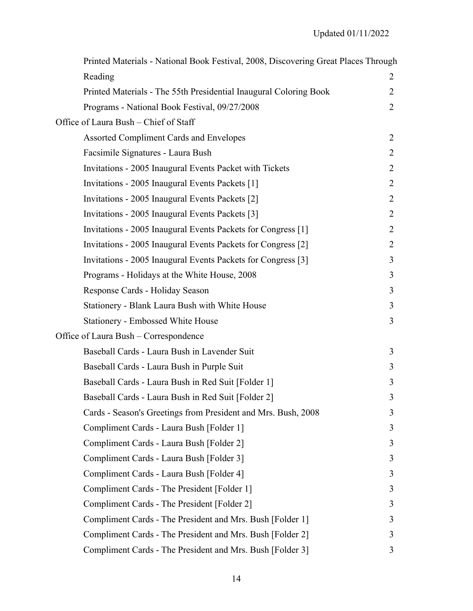| Printed Materials - National Book Festival, 2008, Discovering Great Places Through |                |
|------------------------------------------------------------------------------------|----------------|
| Reading                                                                            | 2              |
| Printed Materials - The 55th Presidential Inaugural Coloring Book                  | 2              |
| Programs - National Book Festival, 09/27/2008                                      | 2              |
| Office of Laura Bush – Chief of Staff                                              |                |
| <b>Assorted Compliment Cards and Envelopes</b>                                     | $\overline{2}$ |
| Facsimile Signatures - Laura Bush                                                  | 2              |
| Invitations - 2005 Inaugural Events Packet with Tickets                            | 2              |
| Invitations - 2005 Inaugural Events Packets [1]                                    | 2              |
| Invitations - 2005 Inaugural Events Packets [2]                                    | 2              |
| Invitations - 2005 Inaugural Events Packets [3]                                    | 2              |
| Invitations - 2005 Inaugural Events Packets for Congress [1]                       | 2              |
| Invitations - 2005 Inaugural Events Packets for Congress [2]                       | 2              |
| Invitations - 2005 Inaugural Events Packets for Congress [3]                       | 3              |
| Programs - Holidays at the White House, 2008                                       | 3              |
| Response Cards - Holiday Season                                                    | 3              |
| Stationery - Blank Laura Bush with White House                                     | 3              |
| <b>Stationery - Embossed White House</b>                                           | 3              |
| Office of Laura Bush – Correspondence                                              |                |
| Baseball Cards - Laura Bush in Lavender Suit                                       | 3              |
| Baseball Cards - Laura Bush in Purple Suit                                         | 3              |
| Baseball Cards - Laura Bush in Red Suit [Folder 1]                                 | 3              |
| Baseball Cards - Laura Bush in Red Suit [Folder 2]                                 | 3              |
| Cards - Season's Greetings from President and Mrs. Bush, 2008                      | 3              |
| Compliment Cards - Laura Bush [Folder 1]                                           | 3              |
| Compliment Cards - Laura Bush [Folder 2]                                           | 3              |
| Compliment Cards - Laura Bush [Folder 3]                                           | 3              |
| Compliment Cards - Laura Bush [Folder 4]                                           | 3              |
| Compliment Cards - The President [Folder 1]                                        | 3              |
| Compliment Cards - The President [Folder 2]                                        | 3              |
| Compliment Cards - The President and Mrs. Bush [Folder 1]                          | 3              |
| Compliment Cards - The President and Mrs. Bush [Folder 2]                          | 3              |
| Compliment Cards - The President and Mrs. Bush [Folder 3]                          | 3              |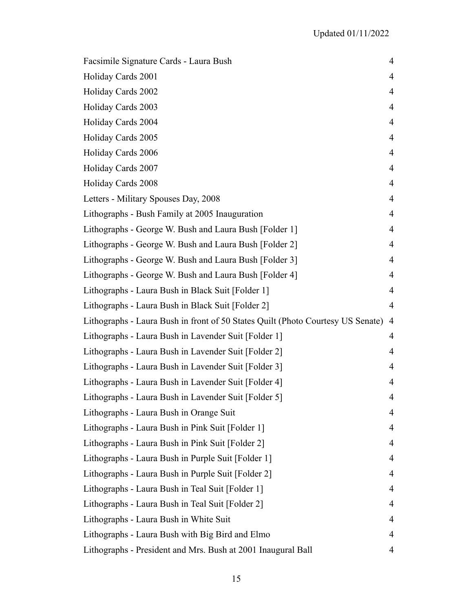| Facsimile Signature Cards - Laura Bush                                          | 4              |
|---------------------------------------------------------------------------------|----------------|
| Holiday Cards 2001                                                              | 4              |
| Holiday Cards 2002                                                              | 4              |
| Holiday Cards 2003                                                              | 4              |
| Holiday Cards 2004                                                              | 4              |
| Holiday Cards 2005                                                              | $\overline{4}$ |
| Holiday Cards 2006                                                              | 4              |
| Holiday Cards 2007                                                              | 4              |
| Holiday Cards 2008                                                              | $\overline{4}$ |
| Letters - Military Spouses Day, 2008                                            | 4              |
| Lithographs - Bush Family at 2005 Inauguration                                  | 4              |
| Lithographs - George W. Bush and Laura Bush [Folder 1]                          | 4              |
| Lithographs - George W. Bush and Laura Bush [Folder 2]                          | 4              |
| Lithographs - George W. Bush and Laura Bush [Folder 3]                          | $\overline{4}$ |
| Lithographs - George W. Bush and Laura Bush [Folder 4]                          | 4              |
| Lithographs - Laura Bush in Black Suit [Folder 1]                               | 4              |
| Lithographs - Laura Bush in Black Suit [Folder 2]                               | $\overline{4}$ |
| Lithographs - Laura Bush in front of 50 States Quilt (Photo Courtesy US Senate) | 4              |
| Lithographs - Laura Bush in Lavender Suit [Folder 1]                            | 4              |
| Lithographs - Laura Bush in Lavender Suit [Folder 2]                            | 4              |
| Lithographs - Laura Bush in Lavender Suit [Folder 3]                            | 4              |
| Lithographs - Laura Bush in Lavender Suit [Folder 4]                            | 4              |
| Lithographs - Laura Bush in Lavender Suit [Folder 5]                            | 4              |
| Lithographs - Laura Bush in Orange Suit                                         | 4              |
| Lithographs - Laura Bush in Pink Suit [Folder 1]                                | 4              |
| Lithographs - Laura Bush in Pink Suit [Folder 2]                                | 4              |
| Lithographs - Laura Bush in Purple Suit [Folder 1]                              | 4              |
| Lithographs - Laura Bush in Purple Suit [Folder 2]                              | 4              |
| Lithographs - Laura Bush in Teal Suit [Folder 1]                                | 4              |
| Lithographs - Laura Bush in Teal Suit [Folder 2]                                | 4              |
| Lithographs - Laura Bush in White Suit                                          | 4              |
| Lithographs - Laura Bush with Big Bird and Elmo                                 | 4              |
| Lithographs - President and Mrs. Bush at 2001 Inaugural Ball                    | 4              |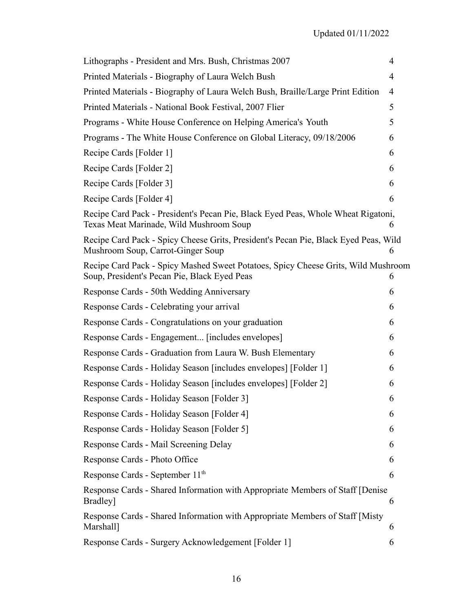| Lithographs - President and Mrs. Bush, Christmas 2007                                                                             | 4              |
|-----------------------------------------------------------------------------------------------------------------------------------|----------------|
| Printed Materials - Biography of Laura Welch Bush                                                                                 | $\overline{4}$ |
| Printed Materials - Biography of Laura Welch Bush, Braille/Large Print Edition                                                    | $\overline{4}$ |
| Printed Materials - National Book Festival, 2007 Flier                                                                            | 5              |
| Programs - White House Conference on Helping America's Youth                                                                      | 5              |
| Programs - The White House Conference on Global Literacy, 09/18/2006                                                              | 6              |
| Recipe Cards [Folder 1]                                                                                                           | 6              |
| Recipe Cards [Folder 2]                                                                                                           | 6              |
| Recipe Cards [Folder 3]                                                                                                           | 6              |
| Recipe Cards [Folder 4]                                                                                                           | 6              |
| Recipe Card Pack - President's Pecan Pie, Black Eyed Peas, Whole Wheat Rigatoni,<br>Texas Meat Marinade, Wild Mushroom Soup       | 6              |
| Recipe Card Pack - Spicy Cheese Grits, President's Pecan Pie, Black Eyed Peas, Wild<br>Mushroom Soup, Carrot-Ginger Soup          | 6              |
| Recipe Card Pack - Spicy Mashed Sweet Potatoes, Spicy Cheese Grits, Wild Mushroom<br>Soup, President's Pecan Pie, Black Eyed Peas | 6              |
| Response Cards - 50th Wedding Anniversary                                                                                         | 6              |
| Response Cards - Celebrating your arrival                                                                                         | 6              |
| Response Cards - Congratulations on your graduation                                                                               | 6              |
| Response Cards - Engagement [includes envelopes]                                                                                  | 6              |
| Response Cards - Graduation from Laura W. Bush Elementary                                                                         | 6              |
| Response Cards - Holiday Season [includes envelopes] [Folder 1]                                                                   | 6              |
| Response Cards - Holiday Season [includes envelopes] [Folder 2]                                                                   | 6              |
| Response Cards - Holiday Season [Folder 3]                                                                                        | 6              |
| Response Cards - Holiday Season [Folder 4]                                                                                        | 6              |
| Response Cards - Holiday Season [Folder 5]                                                                                        | 6              |
| Response Cards - Mail Screening Delay                                                                                             | 6              |
| Response Cards - Photo Office                                                                                                     | 6              |
| Response Cards - September 11 <sup>th</sup>                                                                                       | 6              |
| Response Cards - Shared Information with Appropriate Members of Staff [Denise]<br>Bradley]                                        | 6              |
| Response Cards - Shared Information with Appropriate Members of Staff [Misty<br>Marshall]                                         | 6              |
| Response Cards - Surgery Acknowledgement [Folder 1]                                                                               | 6              |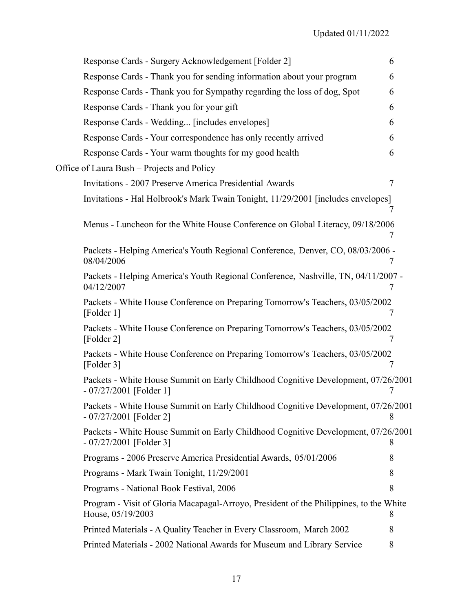| Response Cards - Surgery Acknowledgement [Folder 2]                                                           | 6 |
|---------------------------------------------------------------------------------------------------------------|---|
| Response Cards - Thank you for sending information about your program                                         | 6 |
| Response Cards - Thank you for Sympathy regarding the loss of dog, Spot                                       | 6 |
|                                                                                                               | 6 |
| Response Cards - Thank you for your gift                                                                      |   |
| Response Cards - Wedding [includes envelopes]                                                                 | 6 |
| Response Cards - Your correspondence has only recently arrived                                                | 6 |
| Response Cards - Your warm thoughts for my good health                                                        | 6 |
| Office of Laura Bush – Projects and Policy                                                                    |   |
| Invitations - 2007 Preserve America Presidential Awards                                                       | 7 |
| Invitations - Hal Holbrook's Mark Twain Tonight, 11/29/2001 [includes envelopes]                              | Ί |
| Menus - Luncheon for the White House Conference on Global Literacy, 09/18/2006                                |   |
| Packets - Helping America's Youth Regional Conference, Denver, CO, 08/03/2006 -<br>08/04/2006                 |   |
| Packets - Helping America's Youth Regional Conference, Nashville, TN, 04/11/2007 -<br>04/12/2007              | 7 |
| Packets - White House Conference on Preparing Tomorrow's Teachers, 03/05/2002<br>[Folder 1]                   | 7 |
| Packets - White House Conference on Preparing Tomorrow's Teachers, 03/05/2002<br>[Folder 2]                   | 7 |
| Packets - White House Conference on Preparing Tomorrow's Teachers, 03/05/2002<br>[Folder 3]                   | 7 |
| Packets - White House Summit on Early Childhood Cognitive Development, 07/26/2001<br>$-07/27/2001$ [Folder 1] | 7 |
| Packets - White House Summit on Early Childhood Cognitive Development, 07/26/2001<br>$-07/27/2001$ [Folder 2] | 8 |
| Packets - White House Summit on Early Childhood Cognitive Development, 07/26/2001<br>$-07/27/2001$ [Folder 3] | 8 |
| Programs - 2006 Preserve America Presidential Awards, 05/01/2006                                              | 8 |
| Programs - Mark Twain Tonight, 11/29/2001                                                                     | 8 |
| Programs - National Book Festival, 2006                                                                       | 8 |
| Program - Visit of Gloria Macapagal-Arroyo, President of the Philippines, to the White<br>House, 05/19/2003   | 8 |
| Printed Materials - A Quality Teacher in Every Classroom, March 2002                                          | 8 |
| Printed Materials - 2002 National Awards for Museum and Library Service                                       | 8 |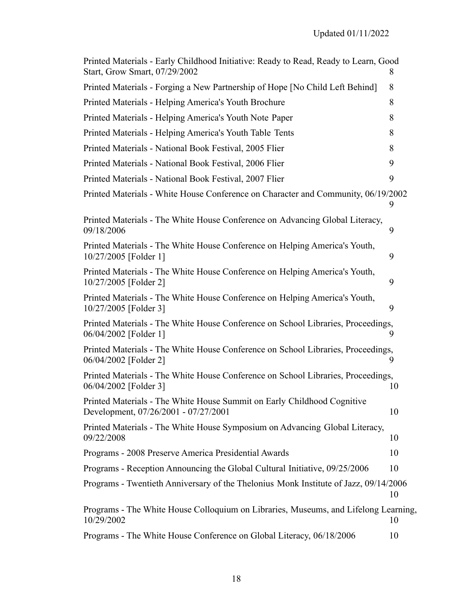| Printed Materials - Early Childhood Initiative: Ready to Read, Ready to Learn, Good<br>Start, Grow Smart, 07/29/2002 | 8. |
|----------------------------------------------------------------------------------------------------------------------|----|
| Printed Materials - Forging a New Partnership of Hope [No Child Left Behind]                                         | 8  |
| Printed Materials - Helping America's Youth Brochure                                                                 | 8  |
| Printed Materials - Helping America's Youth Note Paper                                                               | 8  |
| Printed Materials - Helping America's Youth Table Tents                                                              | 8  |
| Printed Materials - National Book Festival, 2005 Flier                                                               | 8  |
| Printed Materials - National Book Festival, 2006 Flier                                                               | 9  |
| Printed Materials - National Book Festival, 2007 Flier                                                               | 9  |
| Printed Materials - White House Conference on Character and Community, 06/19/2002                                    | 9  |
| Printed Materials - The White House Conference on Advancing Global Literacy,<br>09/18/2006                           | 9  |
| Printed Materials - The White House Conference on Helping America's Youth,<br>10/27/2005 [Folder 1]                  | 9  |
| Printed Materials - The White House Conference on Helping America's Youth,<br>10/27/2005 [Folder 2]                  | 9  |
| Printed Materials - The White House Conference on Helping America's Youth,<br>10/27/2005 [Folder 3]                  | 9  |
| Printed Materials - The White House Conference on School Libraries, Proceedings,<br>06/04/2002 [Folder 1]            | 9  |
| Printed Materials - The White House Conference on School Libraries, Proceedings,<br>06/04/2002 [Folder 2]            | 9  |
| Printed Materials - The White House Conference on School Libraries, Proceedings,<br>06/04/2002 [Folder 3]            | 10 |
| Printed Materials - The White House Summit on Early Childhood Cognitive<br>Development, 07/26/2001 - 07/27/2001      | 10 |
| Printed Materials - The White House Symposium on Advancing Global Literacy,<br>09/22/2008                            | 10 |
| Programs - 2008 Preserve America Presidential Awards                                                                 | 10 |
| Programs - Reception Announcing the Global Cultural Initiative, 09/25/2006                                           | 10 |
| Programs - Twentieth Anniversary of the Thelonius Monk Institute of Jazz, 09/14/2006                                 | 10 |
| Programs - The White House Colloquium on Libraries, Museums, and Lifelong Learning,<br>10/29/2002                    | 10 |
| Programs - The White House Conference on Global Literacy, 06/18/2006                                                 | 10 |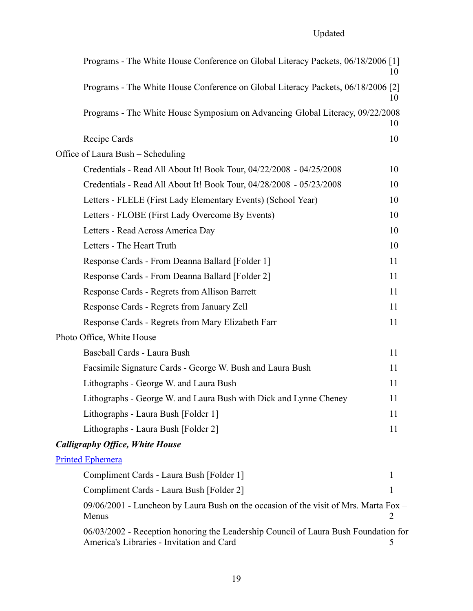| Programs - The White House Conference on Global Literacy Packets, 06/18/2006 [1]                                                 | 10           |  |
|----------------------------------------------------------------------------------------------------------------------------------|--------------|--|
| Programs - The White House Conference on Global Literacy Packets, 06/18/2006 [2]                                                 | 10           |  |
| Programs - The White House Symposium on Advancing Global Literacy, 09/22/2008                                                    | 10           |  |
| Recipe Cards                                                                                                                     | 10           |  |
| Office of Laura Bush – Scheduling                                                                                                |              |  |
| Credentials - Read All About It! Book Tour, 04/22/2008 - 04/25/2008                                                              | 10           |  |
| Credentials - Read All About It! Book Tour, 04/28/2008 - 05/23/2008                                                              | 10           |  |
| Letters - FLELE (First Lady Elementary Events) (School Year)                                                                     | 10           |  |
| Letters - FLOBE (First Lady Overcome By Events)                                                                                  | 10           |  |
| Letters - Read Across America Day                                                                                                | 10           |  |
| Letters - The Heart Truth                                                                                                        | 10           |  |
| Response Cards - From Deanna Ballard [Folder 1]                                                                                  | 11           |  |
| Response Cards - From Deanna Ballard [Folder 2]                                                                                  | 11           |  |
| Response Cards - Regrets from Allison Barrett                                                                                    | 11           |  |
| Response Cards - Regrets from January Zell                                                                                       | 11           |  |
| Response Cards - Regrets from Mary Elizabeth Farr                                                                                | 11           |  |
| Photo Office, White House                                                                                                        |              |  |
| Baseball Cards - Laura Bush                                                                                                      | 11           |  |
| Facsimile Signature Cards - George W. Bush and Laura Bush                                                                        | 11           |  |
| Lithographs - George W. and Laura Bush                                                                                           | 11           |  |
| Lithographs - George W. and Laura Bush with Dick and Lynne Cheney                                                                | 11           |  |
| Lithographs - Laura Bush [Folder 1]                                                                                              | 11           |  |
| Lithographs - Laura Bush [Folder 2]                                                                                              | 11           |  |
| <b>Calligraphy Office, White House</b>                                                                                           |              |  |
| <b>Printed Ephemera</b>                                                                                                          |              |  |
| Compliment Cards - Laura Bush [Folder 1]                                                                                         | $\mathbf{I}$ |  |
| Compliment Cards - Laura Bush [Folder 2]                                                                                         | 1            |  |
| 09/06/2001 - Luncheon by Laura Bush on the occasion of the visit of Mrs. Marta Fox -<br>Menus                                    | 2            |  |
| 06/03/2002 - Reception honoring the Leadership Council of Laura Bush Foundation for<br>America's Libraries - Invitation and Card | 5            |  |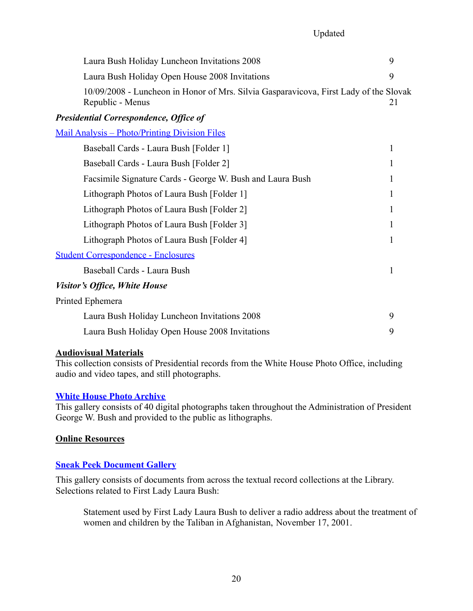| Laura Bush Holiday Luncheon Invitations 2008                                                              | 9  |
|-----------------------------------------------------------------------------------------------------------|----|
| Laura Bush Holiday Open House 2008 Invitations                                                            | 9  |
| 10/09/2008 - Luncheon in Honor of Mrs. Silvia Gasparavicova, First Lady of the Slovak<br>Republic - Menus | 21 |
| <b>Presidential Correspondence, Office of</b>                                                             |    |
| <u> Mail Analysis – Photo/Printing Division Files</u>                                                     |    |
| Baseball Cards - Laura Bush [Folder 1]                                                                    | 1  |
| Baseball Cards - Laura Bush [Folder 2]                                                                    | 1  |
| Facsimile Signature Cards - George W. Bush and Laura Bush                                                 | 1  |
| Lithograph Photos of Laura Bush [Folder 1]                                                                | 1  |
| Lithograph Photos of Laura Bush [Folder 2]                                                                | 1  |
| Lithograph Photos of Laura Bush [Folder 3]                                                                | 1  |
| Lithograph Photos of Laura Bush [Folder 4]                                                                | 1  |
| <b>Student Correspondence - Enclosures</b>                                                                |    |
| Baseball Cards - Laura Bush                                                                               | 1  |
| Visitor's Office, White House                                                                             |    |
| Printed Ephemera                                                                                          |    |
| Laura Bush Holiday Luncheon Invitations 2008                                                              | 9  |
| Laura Bush Holiday Open House 2008 Invitations                                                            | 9  |

## **Audiovisual Materials**

This collection consists of Presidential records from the White House Photo Office, including audio and video tapes, and still photographs.

#### **[White House Photo Archive](https://www.georgewbushlibrary.gov/explore/galleries/white-house-photo-archive)**

This gallery consists of 40 digital photographs taken throughout the Administration of President George W. Bush and provided to the public as lithographs.

#### **Online Resources**

## **[Sneak Peek Document Gallery](http://georgewbushlibrary.smu.edu/Photos-and-Videos/Photo-Galleries/Sneak-Peek-Document-Gallery.aspx)**

This gallery consists of documents from across the textual record collections at the Library. Selections related to First Lady Laura Bush:

Statement used by First Lady Laura Bush to deliver a radio address about the treatment of women and children by the Taliban in Afghanistan, November 17, 2001.